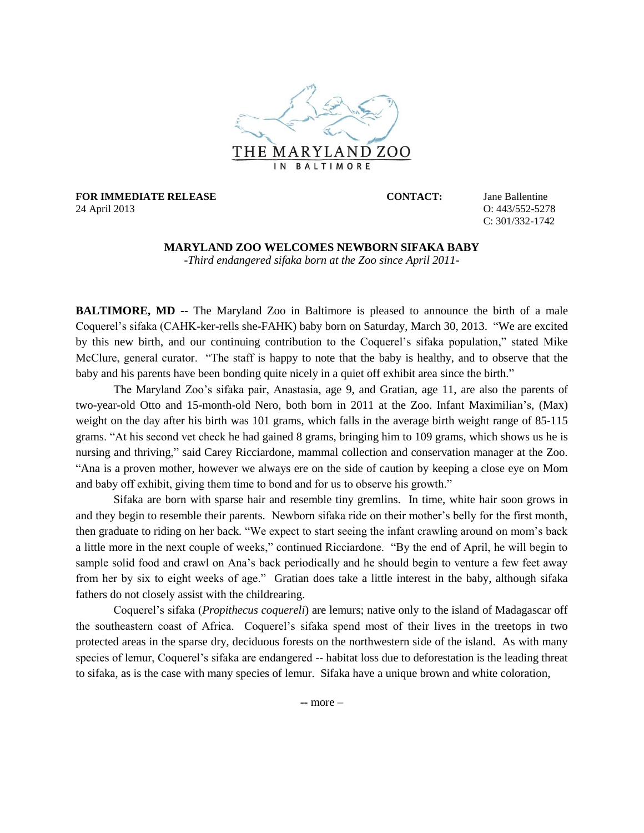

**FOR IMMEDIATE RELEASE CONTACT:** Jane Ballentine 24 April 2013 O: 443/552-5278

C: 301/332-1742

## **MARYLAND ZOO WELCOMES NEWBORN SIFAKA BABY**

-*Third endangered sifaka born at the Zoo since April 2011-*

**BALTIMORE, MD --** The Maryland Zoo in Baltimore is pleased to announce the birth of a male Coquerel's sifaka (CAHK-ker-rells she-FAHK) baby born on Saturday, March 30, 2013. "We are excited by this new birth, and our continuing contribution to the Coquerel's sifaka population," stated Mike McClure, general curator. "The staff is happy to note that the baby is healthy, and to observe that the baby and his parents have been bonding quite nicely in a quiet off exhibit area since the birth."

The Maryland Zoo's sifaka pair, Anastasia, age 9, and Gratian, age 11, are also the parents of two-year-old Otto and 15-month-old Nero, both born in 2011 at the Zoo. Infant Maximilian's, (Max) weight on the day after his birth was 101 grams, which falls in the average birth weight range of 85-115 grams. "At his second vet check he had gained 8 grams, bringing him to 109 grams, which shows us he is nursing and thriving," said Carey Ricciardone, mammal collection and conservation manager at the Zoo. "Ana is a proven mother, however we always ere on the side of caution by keeping a close eye on Mom and baby off exhibit, giving them time to bond and for us to observe his growth."

Sifaka are born with sparse hair and resemble tiny gremlins. In time, white hair soon grows in and they begin to resemble their parents. Newborn sifaka ride on their mother's belly for the first month, then graduate to riding on her back. "We expect to start seeing the infant crawling around on mom's back a little more in the next couple of weeks," continued Ricciardone. "By the end of April, he will begin to sample solid food and crawl on Ana's back periodically and he should begin to venture a few feet away from her by six to eight weeks of age." Gratian does take a little interest in the baby, although sifaka fathers do not closely assist with the childrearing.

Coquerel's sifaka (*Propithecus coquereli*) are lemurs; native only to the island of Madagascar off the southeastern coast of Africa. Coquerel's sifaka spend most of their lives in the treetops in two protected areas in the sparse dry, deciduous forests on the northwestern side of the island. As with many species of lemur, Coquerel's sifaka are endangered -- habitat loss due to deforestation is the leading threat to sifaka, as is the case with many species of lemur. Sifaka have a unique brown and white coloration,

-- more –